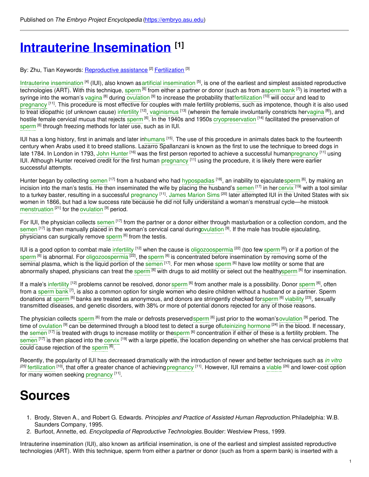# **Intrauterine [Insemination](https://embryo.asu.edu/pages/intrauterine-insemination) [1]**

#### By: Zhu, Tian Keywords: <u>[Reproductive](https://embryo.asu.edu/keywords/reproductive-assistance) assistance [2] [Fertilization](https://embryo.asu.edu/keywords/fertilization)</u> [3]

Intrauterine [insemination](https://embryo.asu.edu/search?text=artificial%20insemination) <sup>[4]</sup> (IUI), also known as artificial insemination <sup>[5]</sup>, is one of the earliest and simplest assisted reproductive technologies (ART). With this technique, [sperm](https://embryo.asu.edu/search?text=sperm%20bank) <sup>[6]</sup> from either a partner or donor (such as from asperm bank <sup>[7]</sup>) is inserted with a syringe into the woman's [vagina](https://embryo.asu.edu/search?text=vagina) <sup>[8]</sup> during [ovulation](https://embryo.asu.edu/search?text=ovulation) <sup>[9]</sup> to increase the probability tha[tfertilization](https://embryo.asu.edu/search?text=fertilization) <sup>[10]</sup> will occur and lead to [pregnancy](https://embryo.asu.edu/search?text=pregnancy) <sup>[11]</sup>. This procedure is most effective for couples with male fertility problems, such as impotence, though it is also used to treat idiopathic (of unknown cause) [infertility](https://embryo.asu.edu/search?text=infertility) <sup>[12]</sup>, [vaginismus](https://embryo.asu.edu/search?text=vaginismus) <sup>[13]</sup> (wherein the female involuntarily constricts he[rvagina](https://embryo.asu.edu/search?text=vagina) <sup>[8]</sup>), and hostile female cervical mucus that rejects [sperm](https://embryo.asu.edu/search?text=sperm) <sup>[6]</sup>. In the 1940s and 1950s [cryopreservation](https://embryo.asu.edu/search?text=cryopreservation) <sup>[14]</sup> facilitated the preservation of [sperm](https://embryo.asu.edu/search?text=sperm) <sup>[6]</sup> through freezing methods for later use, such as in IUI.

IUI has a long history, first in animals and later i[nhumans](https://embryo.asu.edu/search?text=humans) <sup>[15]</sup>. The use of this procedure in animals dates back to the fourteenth century when Arabs used it to breed stallions. Lazarro Spallanzani is known as the first to use the technique to breed dogs in late 1784. In London in 1793, John [Hunter](https://embryo.asu.edu/search?text=John%20Hunter) <sup>[16]</sup> was the first person reported to achieve a successful huma[npregnancy](https://embryo.asu.edu/search?text=pregnancy) <sup>[11]</sup> using IUI. Although Hunter received credit for the first human [pregnancy](https://embryo.asu.edu/search?text=pregnancy) <sup>[11]</sup> using the procedure, it is likely there were earlier successful attempts.

Hunter began by collecting [semen](https://embryo.asu.edu/search?text=semen) <sup>[17]</sup> from a husband who had [hypospadias](https://embryo.asu.edu/search?text=hypospadias) <sup>[18]</sup>, an inability to ejaculate[sperm](https://embryo.asu.edu/search?text=sperm) <sup>[6]</sup>, by making an incision into the man's testis. He then inseminated the wife by placing the husband's [semen](https://embryo.asu.edu/search?text=semen) <sup>[17]</sup> in her [cervix](https://embryo.asu.edu/search?text=cervix) <sup>[19]</sup> with a tool similar to a turkey baster, resulting in a successful [pregnancy](https://embryo.asu.edu/search?text=pregnancy) <sup>[11]</sup>. James [Marion](https://embryo.asu.edu/search?text=James%20Marion%20Sims) Sims <sup>[20]</sup> later attempted IUI in the United States with six women in 1866, but had a low success rate because he did not fully understand a woman's menstrual cycle—he mistook [menstruation](https://embryo.asu.edu/search?text=menstruation) [21] for the [ovulation](https://embryo.asu.edu/search?text=ovulation) [9] period.

For IUI, the physician collects [semen](https://embryo.asu.edu/search?text=semen) <sup>[17]</sup> from the partner or a donor either through masturbation or a collection condom, and the [semen](https://embryo.asu.edu/search?text=semen) <sup>[17]</sup> is then manually placed in the woman's cervical canal durin[govulation](https://embryo.asu.edu/search?text=ovulation) <sup>[9]</sup>. If the male has trouble ejaculating, physicians can surgically remove [sperm](https://embryo.asu.edu/search?text=sperm) <sup>[6]</sup> from the testis.

IUI is a good option to combat male [infertility](https://embryo.asu.edu/search?text=infertility) <sup>[12]</sup> when the cause is [oligozoospermia](https://embryo.asu.edu/search?text=oligozoospermia) <sup>[22]</sup> (too few [sperm](https://embryo.asu.edu/search?text=sperm) <sup>[6]</sup>) or if a portion of the [sperm](https://embryo.asu.edu/search?text=sperm) <sup>[6]</sup> is abnormal. For [oligozoospermia](https://embryo.asu.edu/search?text=oligozoospermia) <sup>[22]</sup>, the sperm <sup>[6]</sup> is concentrated before insemination by removing some of the seminal plasma, which is the liquid portion of the [semen](https://embryo.asu.edu/search?text=semen) <sup>[17]</sup>. For men whose [sperm](https://embryo.asu.edu/search?text=sperm) <sup>[6]</sup> have low motility or some that are abnormally shaped, physicians can treat the [sperm](https://embryo.asu.edu/search?text=sperm) <sup>[6]</sup> with drugs to aid motility or select out the health[ysperm](https://embryo.asu.edu/search?text=sperm) <sup>[6]</sup> for insemination.

If a male's [infertility](https://embryo.asu.edu/search?text=infertility) <sup>[12]</sup> problems cannot be resolved, donor [sperm](https://embryo.asu.edu/search?text=sperm) <sup>[6]</sup> from another male is a possibility. Donor sperm <sup>[6]</sup>, often from a [sperm](https://embryo.asu.edu/search?text=sperm%20bank) bank <sup>[7]</sup>, is also a common option for single women who desire children without a husband or a partner. Sperm donations at [sperm](https://embryo.asu.edu/search?text=sperm) <sup>[6]</sup> banks are treated as anonymous, and donors are stringently checked forsperm <sup>[6]</sup> [viability](https://embryo.asu.edu/search?text=viability) <sup>[23]</sup>, sexually transmitted diseases, and genetic disorders, with 38% or more of potential donors rejected for any of those reasons.

The physician collects [sperm](https://embryo.asu.edu/search?text=sperm) <sup>[6]</sup> from the male or defrosts preservedsperm <sup>[6]</sup> just prior to the woman's[ovulation](https://embryo.asu.edu/search?text=ovulation) <sup>[9]</sup> period. The time of [ovulation](https://embryo.asu.edu/search?text=ovulation) <sup>[9]</sup> can be determined through a blood test to detect a surge o[fluteinizing](https://embryo.asu.edu/search?text=luteinizing%20hormone) hormone <sup>[24]</sup> in the blood. If necessary, the [semen](https://embryo.asu.edu/search?text=semen) <sup>[17]</sup> is treated with drugs to increase motility or th[esperm](https://embryo.asu.edu/search?text=sperm) <sup>[6]</sup> concentration if either of these is a fertility problem. The [semen](https://embryo.asu.edu/search?text=semen) <sup>[17]</sup> is then placed into the [cervix](https://embryo.asu.edu/search?text=cervix) <sup>[19]</sup> with a large pipette, the location depending on whether she has cervical problems that could cause rejection of the [sperm](https://embryo.asu.edu/search?text=sperm) [6].

Recently, the popularity of IUI has decreased dramatically with the introduction of newer and better techniques such as *in [vitro](https://embryo.asu.edu/search?text=in%20vitro)* <sup>(25]</sup> [fertilization](https://embryo.asu.edu/search?text=fertilization) <sup>[10]</sup>, that offer a greater chance of achieving [pregnancy](https://embryo.asu.edu/search?text=pregnancy) <sup>[11]</sup>. However, IUI remains a [viable](https://embryo.asu.edu/search?text=viable) <sup>[26]</sup> and lower-cost option for many women seeking [pregnancy](https://embryo.asu.edu/search?text=pregnancy) [11].

## **Sources**

- 1. Brody, Steven A., and Robert G. Edwards. *Principles and Practice of Assisted Human Reproduction.*Philadelphia: W.B. Saunders Company, 1995.
- 2. Burfoot, Annette, ed. *Encyclopedia of Reproductive Technologies.*Boulder: Westview Press, 1999.

Intrauterine insemination (IUI), also known as artificial insemination, is one of the earliest and simplest assisted reproductive technologies (ART). With this technique, sperm from either a partner or donor (such as from a sperm bank) is inserted with a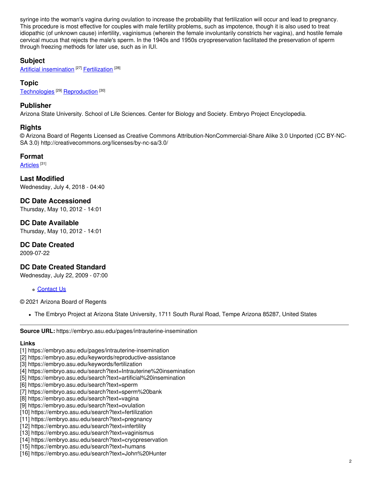syringe into the woman's vagina during ovulation to increase the probability that fertilization will occur and lead to pregnancy. This procedure is most effective for couples with male fertility problems, such as impotence, though it is also used to treat idiopathic (of unknown cause) infertility, vaginismus (wherein the female involuntarily constricts her vagina), and hostile female cervical mucus that rejects the male's sperm. In the 1940s and 1950s cryopreservation facilitated the preservation of sperm through freezing methods for later use, such as in IUI.

#### **Subject**

Artificial [insemination](https://embryo.asu.edu/library-congress-subject-headings/artificial-insemination)<sup>[27]</sup> [Fertilization](https://embryo.asu.edu/medical-subject-headings/fertilization)<sup>[28]</sup>

**Topic**

[Technologies](https://embryo.asu.edu/topics/technologies) [29] [Reproduction](https://embryo.asu.edu/topics/reproduction) [30]

#### **Publisher**

Arizona State University. School of Life Sciences. Center for Biology and Society. Embryo Project Encyclopedia.

#### **Rights**

© Arizona Board of Regents Licensed as Creative Commons Attribution-NonCommercial-Share Alike 3.0 Unported (CC BY-NC-SA 3.0) http://creativecommons.org/licenses/by-nc-sa/3.0/

#### **Format**

[Articles](https://embryo.asu.edu/formats/articles) <sup>[31]</sup>

**Last Modified** Wednesday, July 4, 2018 - 04:40

**DC Date Accessioned** Thursday, May 10, 2012 - 14:01

**DC Date Available** Thursday, May 10, 2012 - 14:01

## **DC Date Created**

2009-07-22

## **DC Date Created Standard**

Wednesday, July 22, 2009 - 07:00

[Contact](https://embryo.asu.edu/contact) Us

© 2021 Arizona Board of Regents

The Embryo Project at Arizona State University, 1711 South Rural Road, Tempe Arizona 85287, United States

#### **Source URL:** https://embryo.asu.edu/pages/intrauterine-insemination

## **Links**

- [1] https://embryo.asu.edu/pages/intrauterine-insemination
- [2] https://embryo.asu.edu/keywords/reproductive-assistance
- [3] https://embryo.asu.edu/keywords/fertilization
- [4] https://embryo.asu.edu/search?text=Intrauterine%20insemination
- [5] https://embryo.asu.edu/search?text=artificial%20insemination
- [6] https://embryo.asu.edu/search?text=sperm
- [7] https://embryo.asu.edu/search?text=sperm%20bank
- [8] https://embryo.asu.edu/search?text=vagina
- [9] https://embryo.asu.edu/search?text=ovulation
- [10] https://embryo.asu.edu/search?text=fertilization
- [11] https://embryo.asu.edu/search?text=pregnancy
- [12] https://embryo.asu.edu/search?text=infertility
- [13] https://embryo.asu.edu/search?text=vaginismus
- [14] https://embryo.asu.edu/search?text=cryopreservation
- [15] https://embryo.asu.edu/search?text=humans
- [16] https://embryo.asu.edu/search?text=John%20Hunter